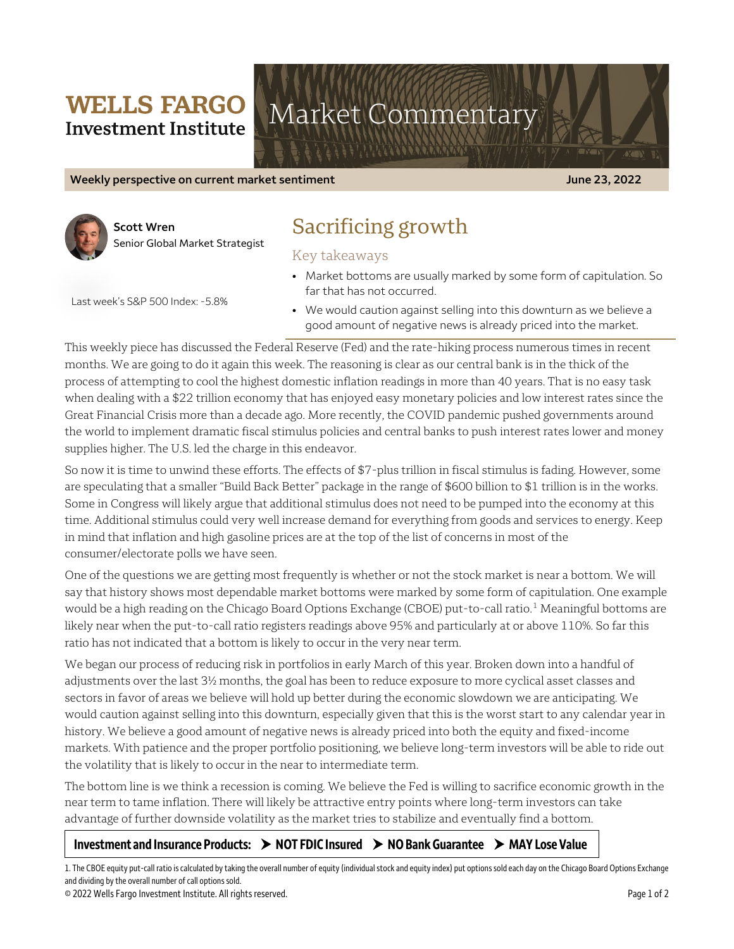## **WELLS FARGO Investment Institute**

# Market Commentary

**Weekly perspective on current market sentiment June 23, 2022**



**Scott Wren** Senior Global Market Strategist

# Sacrificing growth

Key takeaways

• Market bottoms are usually marked by some form of capitulation. So far that has not occurred.

Last week's S&P 500 Index: -5.8%

• We would caution against selling into this downturn as we believe a good amount of negative news is already priced into the market.

This weekly piece has discussed the Federal Reserve (Fed) and the rate-hiking process numerous times in recent months. We are going to do it again this week. The reasoning is clear as our central bank is in the thick of the process of attempting to cool the highest domestic inflation readings in more than 40 years. That is no easy task when dealing with a \$22 trillion economy that has enjoyed easy monetary policies and low interest rates since the Great Financial Crisis more than a decade ago. More recently, the COVID pandemic pushed governments around the world to implement dramatic fiscal stimulus policies and central banks to push interest rates lower and money supplies higher. The U.S. led the charge in this endeavor.

So now it is time to unwind these efforts. The effects of \$7-plus trillion in fiscal stimulus is fading. However, some are speculating that a smaller "Build Back Better" package in the range of \$600 billion to \$1 trillion is in the works. Some in Congress will likely argue that additional stimulus does not need to be pumped into the economy at this time. Additional stimulus could very well increase demand for everything from goods and services to energy. Keep in mind that inflation and high gasoline prices are at the top of the list of concerns in most of the consumer/electorate polls we have seen.

One of the questions we are getting most frequently is whether or not the stock market is near a bottom. We will say that history shows most dependable market bottoms were marked by some form of capitulation. One example would be a high reading on the Chicago Board Options Exchange (CBOE) put-to-call ratio.<sup>[1](#page-0-0)</sup> Meaningful bottoms are likely near when the put-to-call ratio registers readings above 95% and particularly at or above 110%. So far this ratio has not indicated that a bottom is likely to occur in the very near term.

We began our process of reducing risk in portfolios in early March of this year. Broken down into a handful of adjustments over the last 3½ months, the goal has been to reduce exposure to more cyclical asset classes and sectors in favor of areas we believe will hold up better during the economic slowdown we are anticipating. We would caution against selling into this downturn, especially given that this is the worst start to any calendar year in history. We believe a good amount of negative news is already priced into both the equity and fixed-income markets. With patience and the proper portfolio positioning, we believe long-term investors will be able to ride out the volatility that is likely to occur in the near to intermediate term.

The bottom line is we think a recession is coming. We believe the Fed is willing to sacrifice economic growth in the near term to tame inflation. There will likely be attractive entry points where long-term investors can take advantage of further downside volatility as the market tries to stabilize and eventually find a bottom.

## Investment and Insurance Products:  $\rightarrow$  NOT FDIC Insured  $\rightarrow$  NO Bank Guarantee  $\rightarrow$  MAY Lose Value

<span id="page-0-0"></span>1. The CBOE equity put-call ratio is calculated by taking the overall number of equity (individual stock and equity index) put options sold each day on the Chicago Board Options Exchange and dividing by the overall number of call options sold.

© 2022 Wells Fargo Investment Institute. All rights reserved. Page 1 of 2

 $\overline{a}$